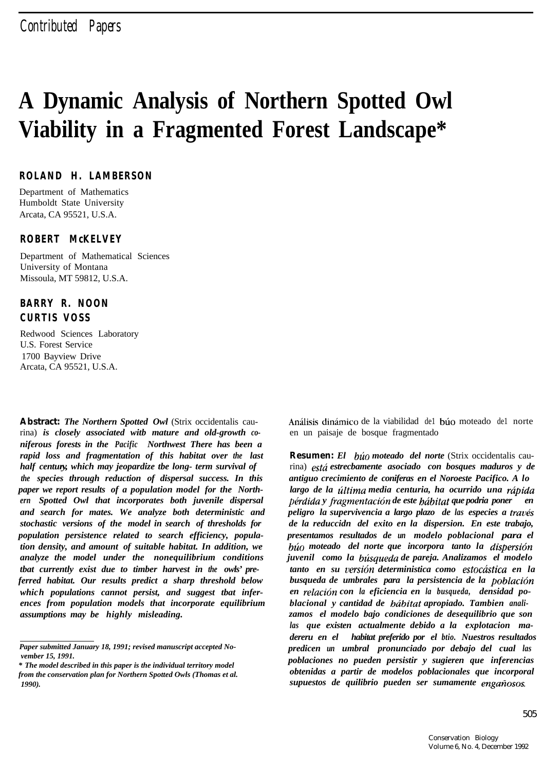# **A Dynamic Analysis of Northern Spotted Owl Viability in a Fragmented Forest Landscape\***

### **ROLAND H. LAMBERSON**

Department of Mathematics Humboldt State University Arcata, CA 95521, U.S.A.

## **ROBERT McKELVEY**

Department of Mathematical Sciences University of Montana Missoula, MT 59812, U.S.A.

# **BARRY R. NOON CURTIS VOSS**

Redwood Sciences Laboratory U.S. Forest Service 1700 Bayview Drive Arcata, CA 95521, U.S.A.

**Abstract:** *The Northern Spotted Owl* (Strix occidentalis caurina) *is closely associated witb mature and old-growth coniferous forests in the Pacific Northwest There has been a rapid loss and fragmentation of this habitat over the last half century, which may jeopardize tbe long- term survival of the species through reduction of dispersal success. In this paper we report results of a population model for the Northern Spotted Owl that incorporates both juvenile dispersal and search for mates. We analyze both deterministic and stochastic versions of the model in search of thresholds for population persistence related to search efficiency, population density, and amount of suitable habitat. In addition, we analyze the model under the nonequilibrium conditions tbat currently exist due to timber harvest in the owls' preferred habitat. Our results predict a sharp threshold below which populations cannot persist, and suggest tbat inferences from population models that incorporate equilibrium assumptions may be highly misleading.*

Análisis dinámico de la viabilidad del búo moteado del norte en un paisaje de bosque fragmentado

**Resumen:** *El btio moteado del norte* (Strix occidentalis caurina) *estd estrecbamente asociado con bosques maduros y de antiguo crecimiento de coniferas en el Noroeste Pacifico. A lo* largo de la última media centuria, ha ocurrido una rápida *pérdida y fragmentación de este hábitat que podria poner en peligro la supervivencia a largo plazo de las especies a taut% de la reduccidn del exito en la dispersion. En este trabajo, presentamos resultados de un modelo poblacional para el btio moteado del norte que incorpora tanto la dispersih juvenil como la bhsqueda de pareja. Analizamos el modelo tanto en su versidn deterministica como estochtica en la busqueda de umbrales para la persistencia de la poblacicin en relacidn con la eficiencia en la busqueda, densidad po*blacional y cantidad de *bábitat apropiado*. Tambien anali*zamos el modelo bajo condiciones de desequilibrio que son las que existen actualmente debido a la explotacion madereru en el habitat preferido por el btio. Nuestros resultados predicen un umbral pronunciado por debajo del cual las poblaciones no pueden persistir y sugieren que inferencias obtenidas a partir de modelos poblacionales que incorporal supuestos de quilibrio pueden ser sumamente engafiosos.*

*Paper submitted January 18, 1991; revised manuscript accepted November 15, 1991.*

*<sup>\*</sup> The model described in this paper is the individual territory model from the conservation plan for Northern Spotted Owls (Thomas et al. 1990).*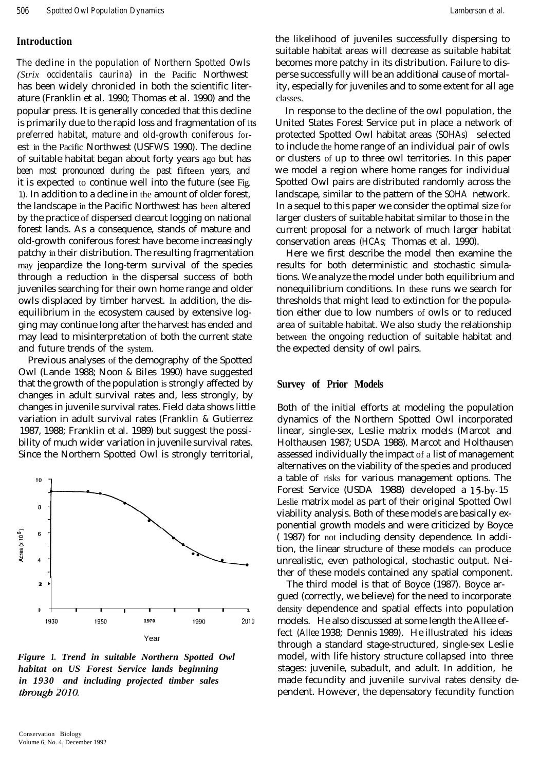#### **Introduction**

The decline in the population of Northern Spotted Owls *(Strix occidentalis caurina*) in the Pacific Northwest has been widely chronicled in both the scientific literature (Franklin et al. 1990; Thomas et al. 1990) and the popular press. It is generally conceded that this decline is primarily due to the rapid loss and fragmentation of its preferred habitat, mature and old-growth coniferous forest in the Pacific Northwest (USFWS 1990). The decline of suitable habitat began about forty years ago but has been most pronounced during the past fifteen years, and it is expected to continue well into the future (see Fig. 1). In addition to a decline in the amount of older forest, the landscape in the Pacific Northwest has been altered by the practice of dispersed clearcut logging on national forest lands. As a consequence, stands of mature and old-growth coniferous forest have become increasingly patchy in their distribution. The resulting fragmentation may jeopardize the long-term survival of the species through a reduction in the dispersal success of both juveniles searching for their own home range and older owls displaced by timber harvest. In addition, the disequilibrium in the ecosystem caused by extensive logging may continue long after the harvest has ended and may lead to misinterpretation of both the current state and future trends of the system.

Previous analyses of the demography of the Spotted Owl (Lande 1988; Noon & Biles 1990) have suggested that the growth of the population is strongly affected by changes in adult survival rates and, less strongly, by changes in juvenile survival rates. Field data shows little variation in adult survival rates (Franklin & Gutierrez 1987, 1988; Franklin et al. 1989) but suggest the possibility of much wider variation in juvenile survival rates. Since the Northern Spotted Owl is strongly territorial,



*Figure 1. Trend in suitable Northern Spotted Owl habitat on US Forest Service lands beginning in 1930 and including projected timber sales* through 2010.

the likelihood of juveniles successfully dispersing to suitable habitat areas will decrease as suitable habitat becomes more patchy in its distribution. Failure to disperse successfully will be an additional cause of mortality, especially for juveniles and to some extent for all age classes.

In response to the decline of the owl population, the United States Forest Service put in place a network of protected Spotted Owl habitat areas (SOHAs) selected to include the home range of an individual pair of owls or clusters of up to three owl territories. In this paper we model a region where home ranges for individual Spotted Owl pairs are distributed randomly across the landscape, similar to the pattern of the SOHA network. In a sequel to this paper we consider the optimal size for larger clusters of suitable habitat similar to those in the current proposal for a network of much larger habitat conservation areas (HCAs; Thomas et al. 1990).

Here we first describe the model then examine the results for both deterministic and stochastic simulations. We analyze the model under both equilibrium and nonequilibrium conditions. In these runs we search for thresholds that might lead to extinction for the population either due to low numbers of owls or to reduced area of suitable habitat. We also study the relationship between the ongoing reduction of suitable habitat and the expected density of owl pairs.

#### **Survey of Prior Models**

Both of the initial efforts at modeling the population dynamics of the Northern Spotted Owl incorporated linear, single-sex, Leslie matrix models (Marcot and Holthausen 1987; USDA 1988). Marcot and Holthausen assessed individually the impact of a list of management alternatives on the viability of the species and produced a table of risks for various management options. The Forest Service (USDA 1988) developed a 15-by-15 Leslie matrix model as part of their original Spotted Owl viability analysis. Both of these models are basically exponential growth models and were criticized by Boyce ( 1987) for not including density dependence. In addition, the linear structure of these models can produce unrealistic, even pathological, stochastic output. Neither of these models contained any spatial component.

The third model is that of Boyce (1987). Boyce argued (correctly, we believe) for the need to incorporate density dependence and spatial effects into population models. He also discussed at some length the Allee effect (Allee 1938; Dennis 1989). He illustrated his ideas through a standard stage-structured, single-sex Leslie model, with life history structure collapsed into three stages: juvenile, subadult, and adult. In addition, he made fecundity and juvenile survival rates density dependent. However, the depensatory fecundity function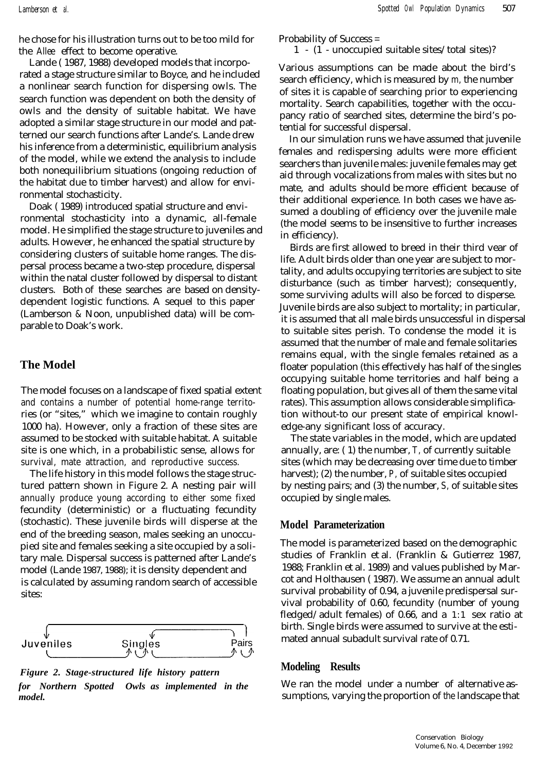he chose for his illustration turns out to be too mild for the Allee effect to become operative.

Lande ( 1987, 1988) developed models that incorporated a stage structure similar to Boyce, and he included a nonlinear search function for dispersing owls. The search function was dependent on both the density of owls and the density of suitable habitat. We have adopted a similar stage structure in our model and patterned our search functions after Lande's. Lande drew his inference from a deterministic, equilibrium analysis of the model, while we extend the analysis to include both nonequilibrium situations (ongoing reduction of the habitat due to timber harvest) and allow for environmental stochasticity.

Doak ( 1989) introduced spatial structure and environmental stochasticity into a dynamic, all-female model. He simplified the stage structure to juveniles and adults. However, he enhanced the spatial structure by considering clusters of suitable home ranges. The dispersal process became a two-step procedure, dispersal within the natal cluster followed by dispersal to distant clusters. Both of these searches are based on densitydependent logistic functions. A sequel to this paper (Lamberson & Noon, unpublished data) will be comparable to Doak's work.

# **The Model**

The model focuses on a landscape of fixed spatial extent and contains a number of potential home-range territories (or "sites," which we imagine to contain roughly 1000 ha). However, only a fraction of these sites are assumed to be stocked with suitable habitat. A suitable site is one which, in a probabilistic sense, allows for survival, mate attraction, and reproductive success.

The life history in this model follows the stage structured pattern shown in Figure 2. A nesting pair will annually produce young according to either some fixed fecundity (deterministic) or a fluctuating fecundity (stochastic). These juvenile birds will disperse at the end of the breeding season, males seeking an unoccupied site and females seeking a site occupied by a solitary male. Dispersal success is patterned after Lande's model (Lande 1987, 1988); it is density dependent and is calculated by assuming random search of accessible sites:



*Figure 2. Stage-structured life history pattern for Northern Spotted Owls as implemented in the*

Probability of Success =

#### 1 - (1 - unoccupied suitable sites/total sites)?

Various assumptions can be made about the bird's search efficiency, which is measured by *m,* the number of sites it is capable of searching prior to experiencing mortality. Search capabilities, together with the occupancy ratio of searched sites, determine the bird's potential for successful dispersal.

In our simulation runs we have assumed that juvenile females and redispersing adults were more efficient searchers than juvenile males: juvenile females may get aid through vocalizations from males with sites but no mate, and adults should be more efficient because of their additional experience. In both cases we have assumed a doubling of efficiency over the juvenile male (the model seems to be insensitive to further increases in efficiency).

Birds are first allowed to breed in their third vear of life. Adult birds older than one year are subject to mortality, and adults occupying territories are subject to site disturbance (such as timber harvest); consequently, some surviving adults will also be forced to disperse. Juvenile birds are also subject to mortality; in particular, it is assumed that all male birds unsuccessful in dispersal to suitable sites perish. To condense the model it is assumed that the number of male and female solitaries remains equal, with the single females retained as a floater population (this effectively has half of the singles occupying suitable home territories and half being a floating population, but gives all of them the same vital rates). This assumption allows considerable simplification without-to our present state of empirical knowledge-any significant loss of accuracy.

The state variables in the model, which are updated annually, are: ( 1) the number, *T,* of currently suitable sites (which may be decreasing over time due to timber harvest); (2) the number, *P,* of suitable sites occupied by nesting pairs; and (3) the number, *S,* of suitable sites occupied by single males.

## **Model Parameterization**

The model is parameterized based on the demographic studies of Franklin et al. (Franklin & Gutierrez 1987, 1988; Franklin et al. 1989) and values published by Marcot and Holthausen ( 1987). We assume an annual adult survival probability of 0.94, a juvenile predispersal survival probability of 0.60, fecundity (number of young fledged/adult females) of 0.66, and a 1:1 sex ratio at birth. Single birds were assumed to survive at the estimated annual subadult survival rate of 0.71.

#### **Modeling Results**

We ran the model under a number of alternative assumptions, varying the proportion of the *model.* landscape that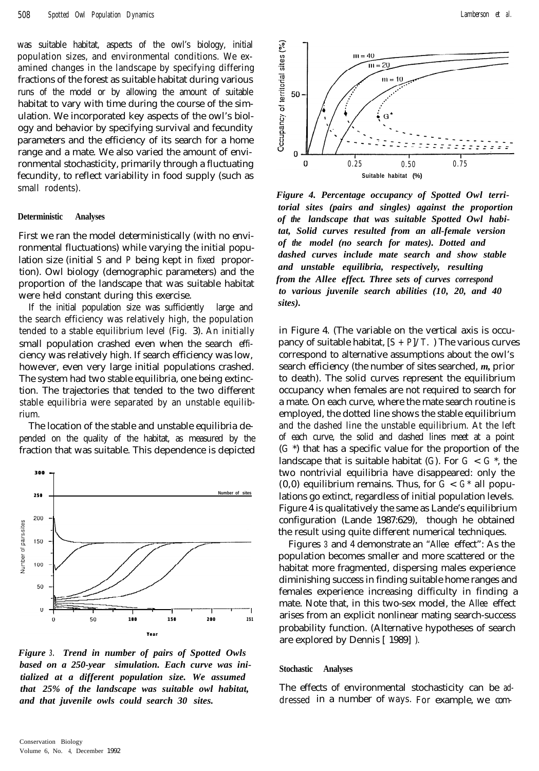was suitable habitat, aspects of the owl's biology, initial population sizes, and environmental conditions. We examined changes in the landscape by specifying differing fractions of the forest as suitable habitat during various runs of the model or by allowing the amount of suitable habitat to vary with time during the course of the simulation. We incorporated key aspects of the owl's biology and behavior by specifying survival and fecundity parameters and the efficiency of its search for a home range and a mate. We also varied the amount of environmental stochasticity, primarily through a fluctuating fecundity, to reflect variability in food supply (such as small rodents).

#### **Deterministic Analyses**

First we ran the model deterministically (with no environmental fluctuations) while varying the initial population size (initial *S* and *P* being kept in fixed proportion). Owl biology (demographic parameters) and the proportion of the landscape that was suitable habitat were held constant during this exercise.

If the initial population size was sufficiently large and the search efficiency was relatively high, the population tended to a stable equilibrium level (Fig. 3). An initially small population crashed even when the search efficiency was relatively high. If search efficiency was low, however, even very large initial populations crashed. The system had two stable equilibria, one being extinction. The trajectories that tended to the two different stable equilibria were separated by an unstable equilibrium.

The location of the stable and unstable equilibria depended on the quality of the habitat, as measured by the fraction that was suitable. This dependence is depicted



*Figure 3 . Trend in number of pairs of Spotted Owls based on a 250-year simulation. Each curve was initialized at a different population size. We assumed that 25% of the landscape was suitable owl habitat, and that juvenile owls could search 30 sites.*



*Figure 4. Percentage occupancy of Spotted Owl territorial sites (pairs and singles) against the proportion of the landscape that was suitable Spotted Owl habitat, Solid curves resulted from an all-female version of the model (no search for mates). Dotted and dashed curves include mate search and show stable and unstable equilibria, respectively, resulting from the Allee effect. Three sets of curves correspond to various juvenile search abilities (10, 20, and 40 sites).*

in Figure 4. (The variable on the vertical axis is occupancy of suitable habitat,  $[S + P]/T$ . The various curves correspond to alternative assumptions about the owl's search efficiency (the number of sites searched, *m,* prior to death). The solid curves represent the equilibrium occupancy when females are not required to search for a mate. On each curve, where the mate search routine is employed, the dotted line shows the stable equilibrium and the dashed line the unstable equilibrium. At the left of each curve, the solid and dashed lines meet at a point (*G* \*) that has a specific value for the proportion of the landscape that is suitable habitat  $(G)$ . For  $G < G^*$ , the two nontrivial equilibria have disappeared: only the  $(0,0)$  equilibrium remains. Thus, for  $G < G^*$  all populations go extinct, regardless of initial population levels. Figure 4 is qualitatively the same as Lande's equilibrium configuration (Lande 1987:629), though he obtained the result using quite different numerical techniques.

Figures 3 and 4 demonstrate an "Allee effect": As the population becomes smaller and more scattered or the habitat more fragmented, dispersing males experience diminishing success in finding suitable home ranges and females experience increasing difficulty in finding a mate. Note that, in this two-sex model, the Allee effect arises from an explicit nonlinear mating search-success probability function. (Alternative hypotheses of search are explored by Dennis [ 1989] ).

#### **Stochastic Analyses**

The effects of environmental stochasticity can be addressed in a number of ways. For example, we com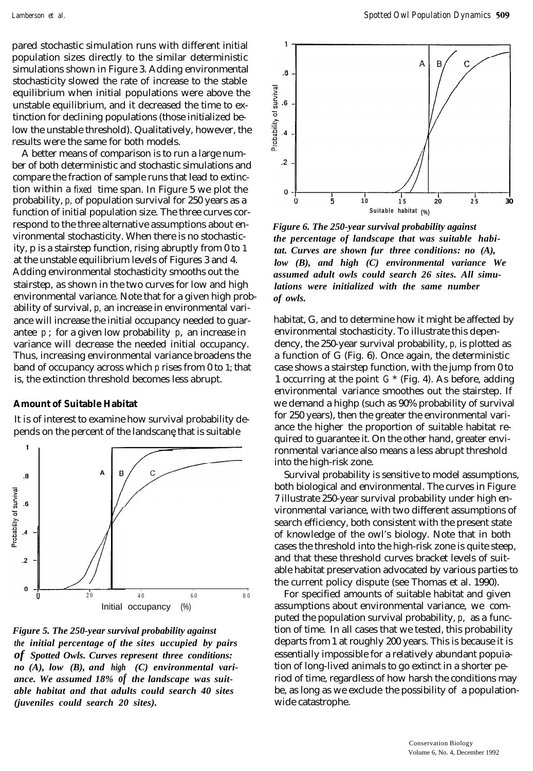pared stochastic simulation runs with different initial population sizes directly to the similar deterministic simulations shown in Figure 3. Adding environmental stochasticity slowed the rate of increase to the stable equilibrium when initial populations were above the unstable equilibrium, and it decreased the time to extinction for declining populations (those initialized below the unstable threshold). Qualitatively, however, the results were the same for both models.

A better means of comparison is to run a large number of both deterministic and stochastic simulations and compare the fraction of sample runs that lead to extinction within a fixed time span. In Figure 5 we plot the probability, *p,* of population survival for 250 years as a function of initial population size. The three curves correspond to the three alternative assumptions about environmental stochasticity. When there is no stochasticity, p is a stairstep function, rising abruptly from 0 to 1 at the unstable equilibrium levels of Figures 3 and 4. Adding environmental stochasticity smooths out the stairstep, as shown in the two curves for low and high environmental variance. Note that for a given high probability of survival, *p,* an increase in environmental variance will increase the initial occupancy needed to guarantee *p* ; for a given low probability *p*, an increase in variance will decrease the needed initial occupancy. Thus, increasing environmental variance broadens the band of occupancy across which *p* rises from 0 to 1; that is, the extinction threshold becomes less abrupt.

#### **Amount of Suitable Habitat**

It is of interest to examine how survival probability depends on the percent of the landscane that is suitable



*Figure 5. The 250-year survival probability against the initial percentage of the sites uccupied by pairs of Spotted Owls. Curves represent three conditions: no (A), low (B), and high (C) environmental variance. We assumed 18% of the landscape was suitable habitat and that adults could search 40 sites (juveniles could search 20 sites).*



*Figure 6. The 250-year survival probability against the percentage of landscape that was suitable habitat. Curves are shown fur three conditions: no (A), low (B), and high (C) environmental variance We assumed adult owls could search 26 sites. All simulations were initialized with the same number of owls.*

habitat, G, and to determine how it might be affected by environmental stochasticity. To illustrate this dependency, the 250-year survival probability, *p,* is plotted as a function of G (Fig. 6). Once again, the deterministic case shows a stairstep function, with the jump from 0 to 1 occurring at the point *G* \* (Fig. 4). As before, adding environmental variance smoothes out the stairstep. If we demand a highp (such as 90% probability of survival for 250 years), then the greater the environmental variance the higher the proportion of suitable habitat required to guarantee it. On the other hand, greater environmental variance also means a less abrupt threshold into the high-risk zone.

Survival probability is sensitive to model assumptions, both biological and environmental. The curves in Figure 7 illustrate 250-year survival probability under high environmental variance, with two different assumptions of search efficiency, both consistent with the present state of knowledge of the owl's biology. Note that in both cases the threshold into the high-risk zone is quite steep, and that these threshold curves bracket levels of suitable habitat preservation advocated by various parties to the current policy dispute (see Thomas et al. 1990).

For specified amounts of suitable habitat and given assumptions about environmental variance, we computed the population survival probability, *p*, as a function of time. In all cases that we tested, this probab ility departs from 1 at roughly 200 years. This is because it is essentially impossible for a relatively abundant popuiation of long-lived animals to go extinct in a shorter period of time, regardless of how harsh the conditions may be, as long as we exclude the possibility of a populationwide catastrophe.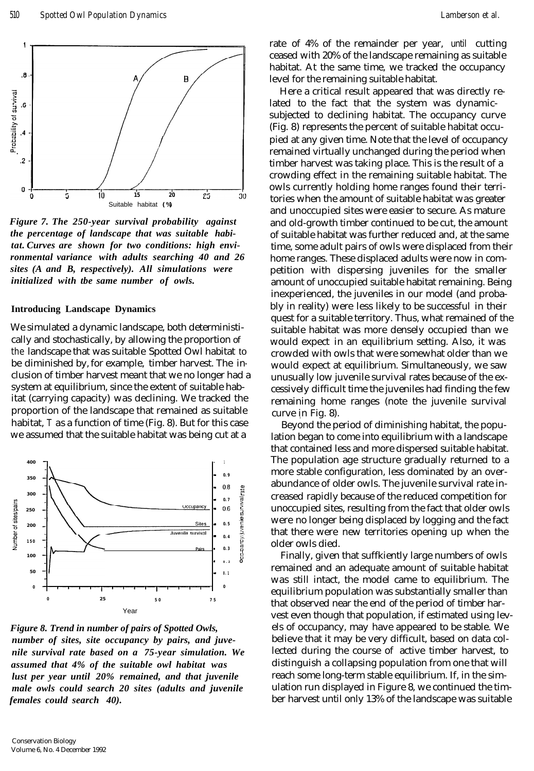

*Figure 7. The 250-year survival probability against the percentage of landscape that was suitable habitat. Curves are shown for two conditions: high environmental variance with adults searching 40 and 26 sites (A and B, respectively). All simulations were initialized with tbe same number of owls.*

#### **Introducing Landscape Dynamics**

We simulated a dynamic landscape, both deterministically and stochastically, by allowing the proportion of the landscape that was suitable Spotted Owl habitat to be diminished by, for example, timber harvest. The inclusion of timber harvest meant that we no longer had a system at equilibrium, since the extent of suitable habitat (carrying capacity) was declining. We tracked the proportion of the landscape that remained as suitable habitat, *T* as a function of time (Fig. 8). But for this case we assumed that the suitable habitat was being cut at a



*Figure 8. Trend in number of pairs of Spotted Owls, number of sites, site occupancy by pairs, and juvenile survival rate based on a 75-year simulation. We assumed that 4% of the suitable owl habitat was lust per year until 20% remained, and that juvenile male owls could search 20 sites (adults and juvenile females could search 40).*

rate of 4% of the remainder per year, until cutting ceased with 20% of the landscape remaining as suitable habitat. At the same time, we tracked the occupancy level for the remaining suitable habitat.

Here a critical result appeared that was directly related to the fact that the system was dynamicsubjected to declining habitat. The occupancy curve (Fig. 8) represents the percent of suitable habitat occupied at any given time. Note that the level of occupancy remained virtually unchanged during the period when timber harvest was taking place. This is the result of a crowding effect in the remaining suitable habitat. The owls currently holding home ranges found their territories when the amount of suitable habitat was greater and unoccupied sites were easier to secure. As mature and old-growth timber continued to be cut, the amount of suitable habitat was further reduced and, at the same time, some adult pairs of owls were displaced from their home ranges. These displaced adults were now in competition with dispersing juveniles for the smaller amount of unoccupied suitable habitat remaining. Being inexperienced, the juveniles in our model (and probably in reality) were less likely to be successful in their quest for a suitable territory. Thus, what remained of the suitable habitat was more densely occupied than we would expect in an equilibrium setting. Also, it was crowded with owls that were somewhat older than we would expect at equilibrium. Simultaneously, we saw unusually low juvenile survival rates because of the excessively difficult time the juveniles had finding the few remaining home ranges (note the juvenile survival curve in Fig. 8).

Beyond the period of diminishing habitat, the population began to come into equilibrium with a landscape that contained less and more dispersed suitable habitat. The population age structure gradually returned to a more stable configuration, less dominated by an overabundance of older owls. The juvenile survival rate increased rapidly because of the reduced competition for unoccupied sites, resulting from the fact that older owls were no longer being displaced by logging and the fact that there were new territories opening up when the older owls died.

Finally, given that suffkiently large numbers of owls remained and an adequate amount of suitable habitat was still intact, the model came to equilibrium. The equilibrium population was substantially smaller than that observed near the end of the period of timber harvest even though that population, if estimated using levels of occupancy, may have appeared to be stable. We believe that it may be very difficult, based on data collected during the course of active timber harvest, to distinguish a collapsing population from one that will reach some long-term stable equilibrium. If, in the simulation run displayed in Figure 8, we continued the timber harvest until only 13% of the landscape was suitable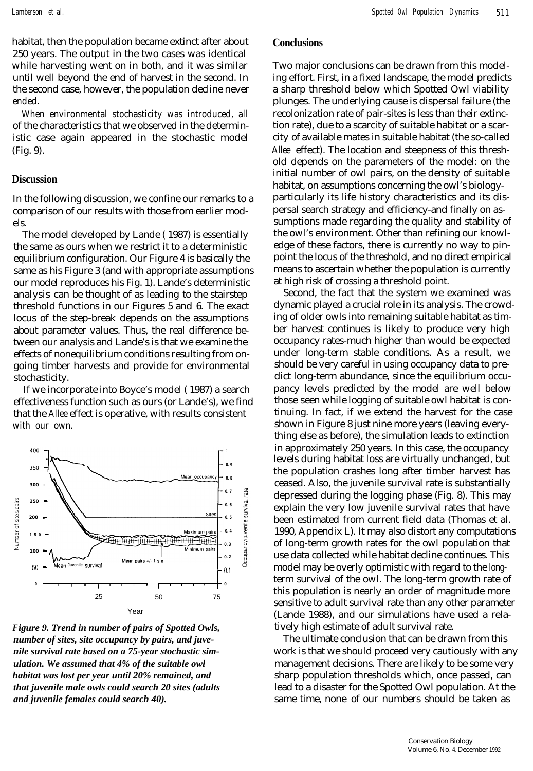*Lamberson et al. Spotted Owl Population Dynamics* 511

habitat, then the population became extinct after about 250 years. The output in the two cases was identical while harvesting went on in both, and it was similar until well beyond the end of harvest in the second. In the second case, however, the population decline never ended.

When environmental stochasticity was introduced, all of the characteristics that we observed in the deterministic case again appeared in the stochastic model (Fig. 9).

# **Discussion**

In the following discussion, we confine our remarks to a comparison of our results with those from earlier models.

The model developed by Lande ( 1987) is essentially the same as ours when we restrict it to a deterministic equilibrium configuration. Our Figure 4 is basically the same as his Figure 3 (and with appropriate assumptions our model reproduces his Fig. 1). Lande's deterministic analysis can be thought of as leading to the stairstep threshold functions in our Figures 5 and 6. The exact locus of the step-break depends on the assumptions about parameter values. Thus, the real difference between our analysis and Lande's is that we examine the effects of nonequilibrium conditions resulting from ongoing timber harvests and provide for environmental stochasticity.

If we incorporate into Boyce's model ( 1987) a search effectiveness function such as ours (or Lande's), we find that the Allee effect is operative, with results consistent with our own.



*Figure 9. Trend in number of pairs of Spotted Owls, number of sites, site occupancy by pairs, and juvenile survival rate based on a 75-year stochastic simulation. We assumed that 4% of the suitable owl habitat was lost per year until 20% remained, and that juvenile male owls could search 20 sites (adults and juvenile females could search 40).*

#### **Conclusions**

Two major conclusions can be drawn from this modeling effort. First, in a fixed landscape, the model predicts a sharp threshold below which Spotted Owl viability plunges. The underlying cause is dispersal failure (the recolonization rate of pair-sites is less than their extinction rate), due to a scarcity of suitable habitat or a scarcity of available mates in suitable habitat (the so-called Allee effect). The location and steepness of this threshold depends on the parameters of the model: on the initial number of owl pairs, on the density of suitable habitat, on assumptions concerning the owl's biologyparticularly its life history characteristics and its dispersal search strategy and efficiency-and finally on assumptions made regarding the quality and stability of the owl's environment. Other than refining our knowledge of these factors, there is currently no way to pinpoint the locus of the threshold, and no direct empirical means to ascertain whether the population is currently at high risk of crossing a threshold point.

Second, the fact that the system we examined was dynamic played a crucial role in its analysis. The crowding of older owls into remaining suitable habitat as timber harvest continues is likely to produce very high occupancy rates-much higher than would be expected under long-term stable conditions. As a result, we should be very careful in using occupancy data to predict long-term abundance, since the equilibrium occupancy levels predicted by the model are well below those seen while logging of suitable owl habitat is continuing. In fact, if we extend the harvest for the case shown in Figure 8 just nine more years (leaving everything else as before), the simulation leads to extinction in approximately 250 years. In this case, the occupancy levels during habitat loss are virtually unchanged, but the population crashes long after timber harvest has ceased. Also, the juvenile survival rate is substantially depressed during the logging phase (Fig. 8). This may explain the very low juvenile survival rates that have been estimated from current field data (Thomas et al. 1990, Appendix L). It may also distort any computations of long-term growth rates for the owl population that use data collected while habitat decline continues. This model may be overly optimistic with regard to the longterm survival of the owl. The long-term growth rate of this population is nearly an order of magnitude more sensitive to adult survival rate than any other parameter (Lande 1988), and our simulations have used a relatively high estimate of adult survival rate.

The ultimate conclusion that can be drawn from this work is that we should proceed very cautiously with any management decisions. There are likely to be some very sharp population thresholds which, once passed, can lead to a disaster for the Spotted Owl population. At the same time, none of our numbers should be taken as